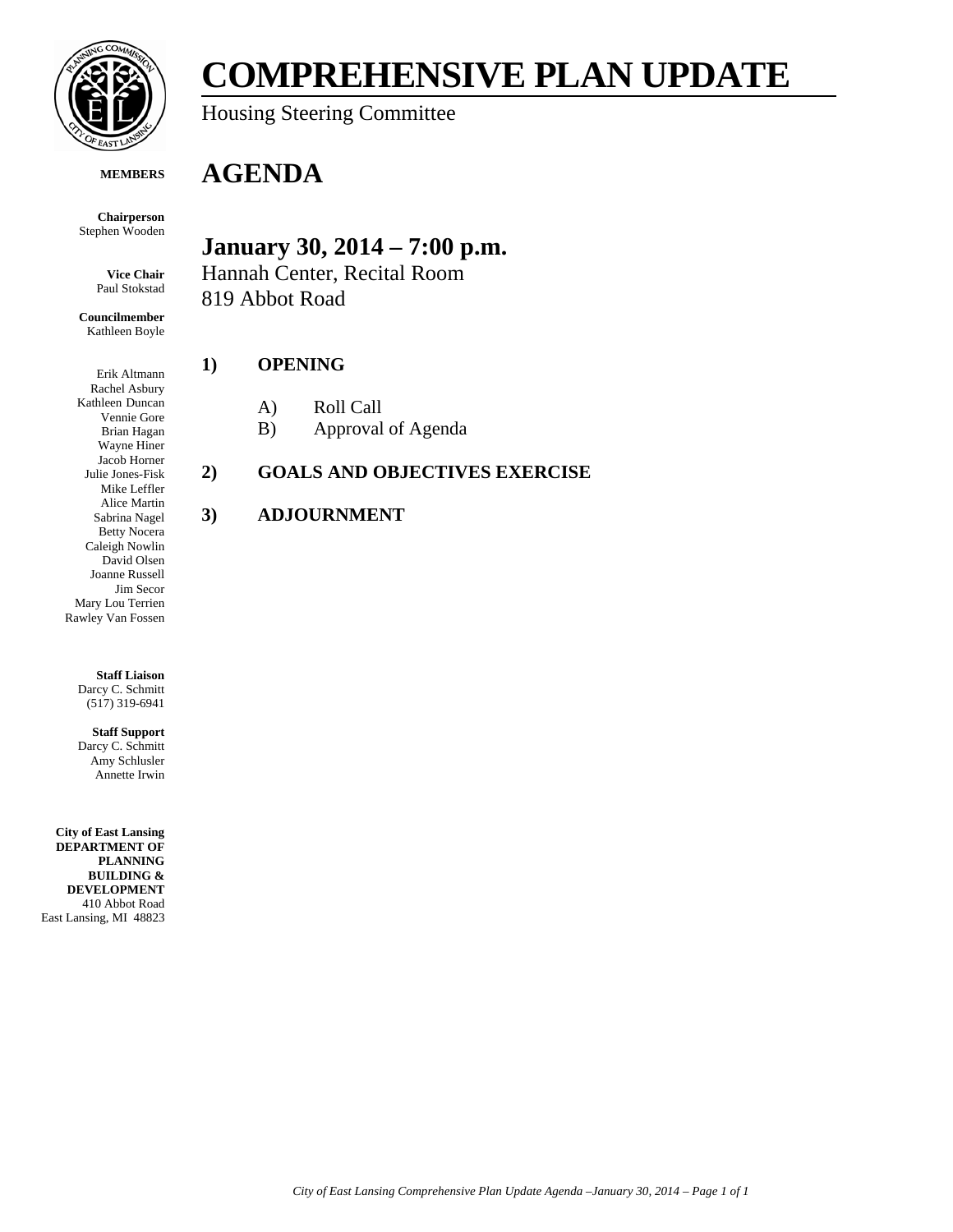

# **COMPREHENSIVE PLAN UPDATE**

Housing Steering Committee

#### **MEMBERS**

**Chairperson**

**January 30, 2014 – 7:00 p.m.**

Hannah Center, Recital Room 819 Abbot Road

#### **1) OPENING**

**AGENDA**

- A) Roll Call
- B) Approval of Agenda

# **2) GOALS AND OBJECTIVES EXERCISE**

# **3) ADJOURNMENT**

Stephen Wooden

**Vice Chair** Paul Stokstad

**Councilmember** Kathleen Boyle

Erik Altmann Rachel Asbury Kathleen Duncan Vennie Gore Brian Hagan Wayne Hiner Jacob Horner Julie Jones-Fisk Mike Leffler Alice Martin Sabrina Nagel Betty Nocera Caleigh Nowlin David Olsen Joanne Russell Jim Secor Mary Lou Terrien Rawley Van Fossen

> **Staff Liaison** Darcy C. Schmitt (517) 319-6941

**Staff Support** Darcy C. Schmitt Amy Schlusler Annette Irwin

**City of East Lansing DEPARTMENT OF PLANNING BUILDING & DEVELOPMENT** 410 Abbot Road East Lansing, MI 48823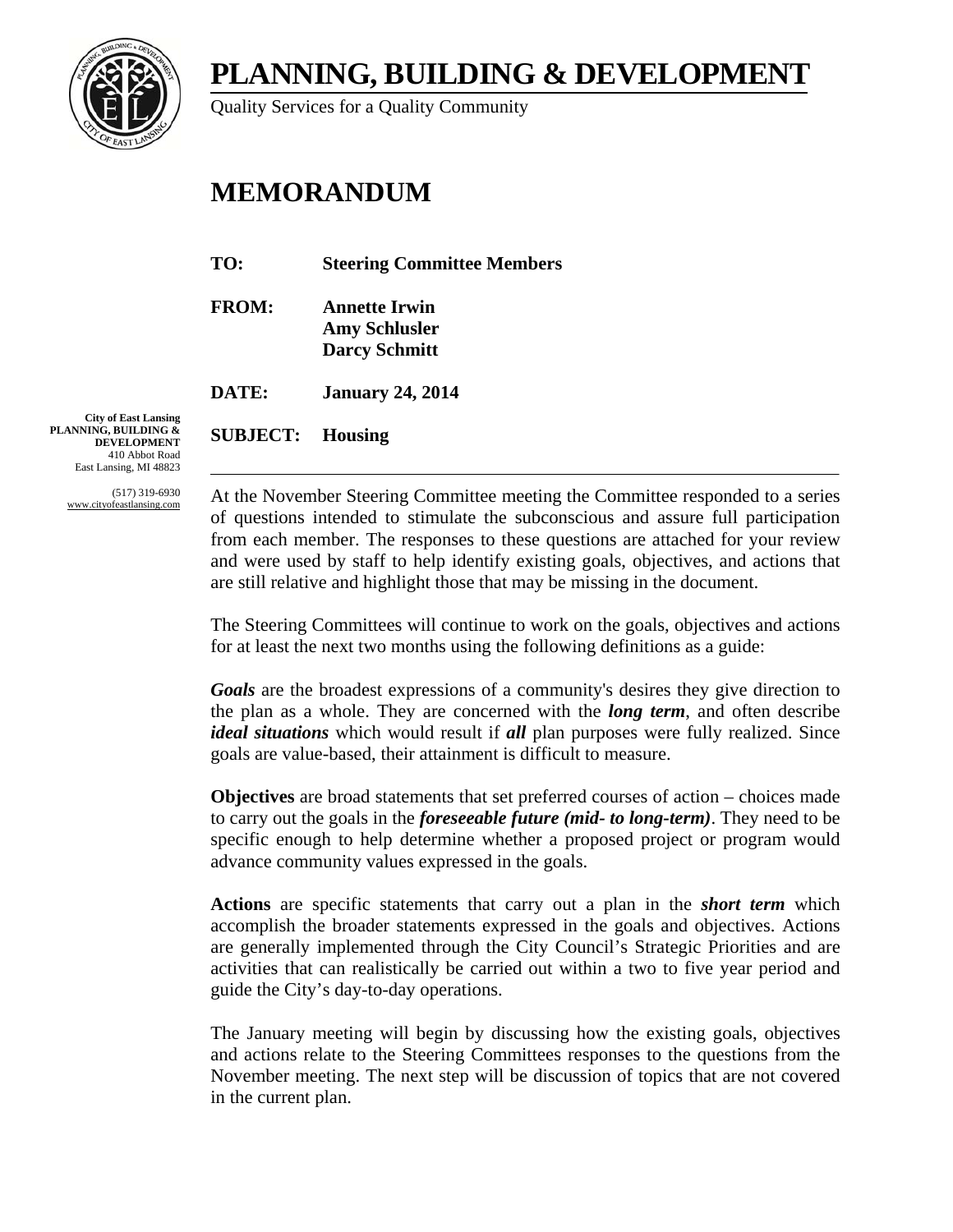**PLANNING, BUILDING & DEVELOPMENT** 



Quality Services for a Quality Community

# **MEMORANDUM**

| TO:          | <b>Steering Committee Members</b>                                    |
|--------------|----------------------------------------------------------------------|
| <b>FROM:</b> | <b>Annette Irwin</b><br><b>Amy Schlusler</b><br><b>Darcy Schmitt</b> |
| DATE:        | <b>January 24, 2014</b>                                              |

**SUBJECT: Housing** 

**City of East Lansing PLANNING, BUILDING & DEVELOPMENT** 410 Abbot Road East Lansing, MI 48823

> (517) 319-6930 www.cityofeastlansing.com

At the November Steering Committee meeting the Committee responded to a series of questions intended to stimulate the subconscious and assure full participation from each member. The responses to these questions are attached for your review and were used by staff to help identify existing goals, objectives, and actions that are still relative and highlight those that may be missing in the document.

The Steering Committees will continue to work on the goals, objectives and actions for at least the next two months using the following definitions as a guide:

*Goals* are the broadest expressions of a community's desires they give direction to the plan as a whole. They are concerned with the *long term*, and often describe *ideal situations* which would result if *all* plan purposes were fully realized. Since goals are value-based, their attainment is difficult to measure.

**Objectives** are broad statements that set preferred courses of action – choices made to carry out the goals in the *foreseeable future (mid- to long-term)*. They need to be specific enough to help determine whether a proposed project or program would advance community values expressed in the goals.

**Actions** are specific statements that carry out a plan in the *short term* which accomplish the broader statements expressed in the goals and objectives. Actions are generally implemented through the City Council's Strategic Priorities and are activities that can realistically be carried out within a two to five year period and guide the City's day-to-day operations.

The January meeting will begin by discussing how the existing goals, objectives and actions relate to the Steering Committees responses to the questions from the November meeting. The next step will be discussion of topics that are not covered in the current plan.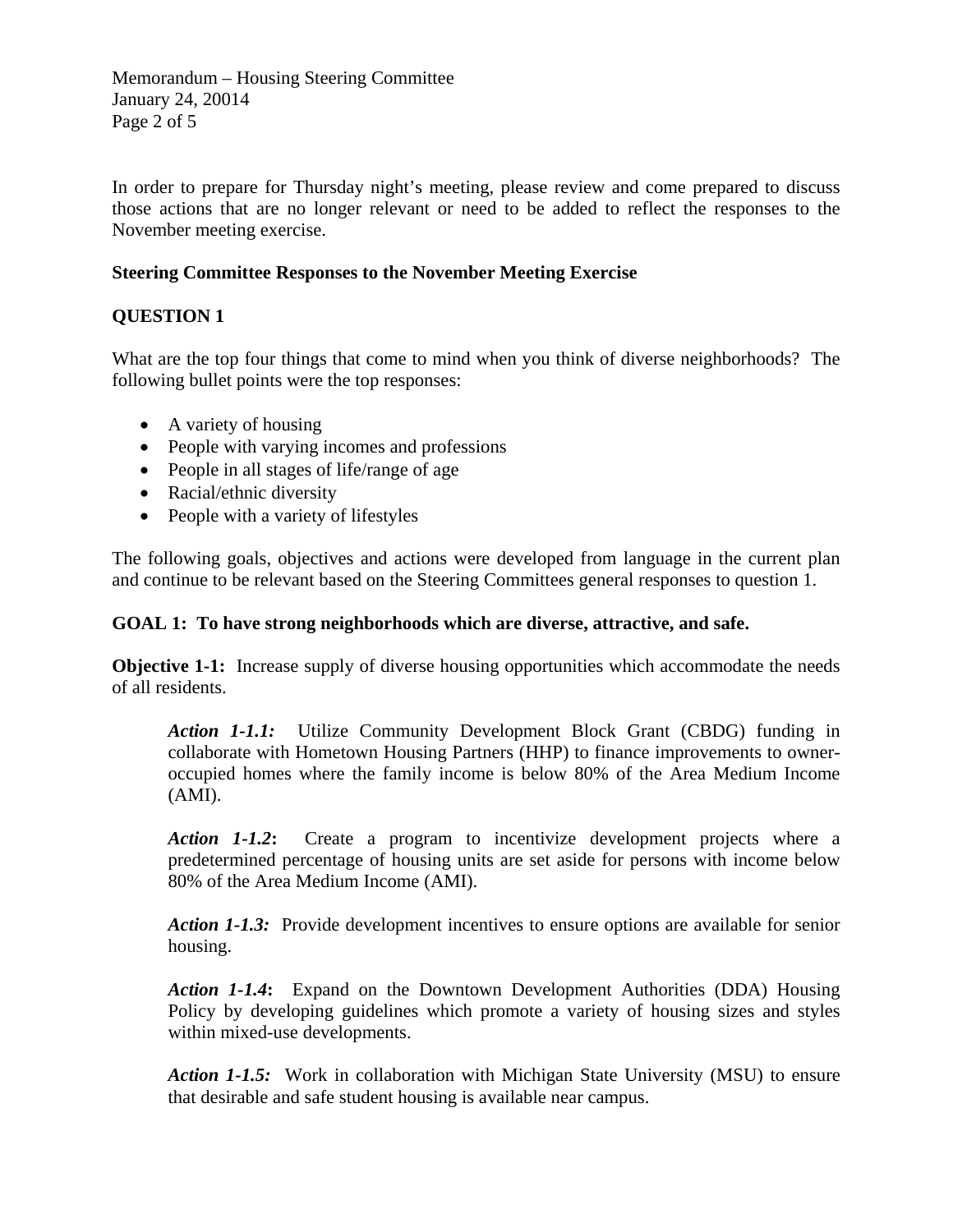Memorandum – Housing Steering Committee January 24, 20014 Page 2 of 5

In order to prepare for Thursday night's meeting, please review and come prepared to discuss those actions that are no longer relevant or need to be added to reflect the responses to the November meeting exercise.

### **Steering Committee Responses to the November Meeting Exercise**

# **QUESTION 1**

What are the top four things that come to mind when you think of diverse neighborhoods? The following bullet points were the top responses:

- A variety of housing
- People with varying incomes and professions
- People in all stages of life/range of age
- Racial/ethnic diversity
- People with a variety of lifestyles

The following goals, objectives and actions were developed from language in the current plan and continue to be relevant based on the Steering Committees general responses to question 1.

#### **GOAL 1: To have strong neighborhoods which are diverse, attractive, and safe.**

**Objective 1-1:** Increase supply of diverse housing opportunities which accommodate the needs of all residents.

*Action 1-1.1:* Utilize Community Development Block Grant (CBDG) funding in collaborate with Hometown Housing Partners (HHP) to finance improvements to owneroccupied homes where the family income is below 80% of the Area Medium Income (AMI).

*Action 1-1.2***:** Create a program to incentivize development projects where a predetermined percentage of housing units are set aside for persons with income below 80% of the Area Medium Income (AMI).

*Action 1-1.3:* Provide development incentives to ensure options are available for senior housing.

*Action 1-1.4***:** Expand on the Downtown Development Authorities (DDA) Housing Policy by developing guidelines which promote a variety of housing sizes and styles within mixed-use developments.

*Action 1-1.5:* Work in collaboration with Michigan State University (MSU) to ensure that desirable and safe student housing is available near campus.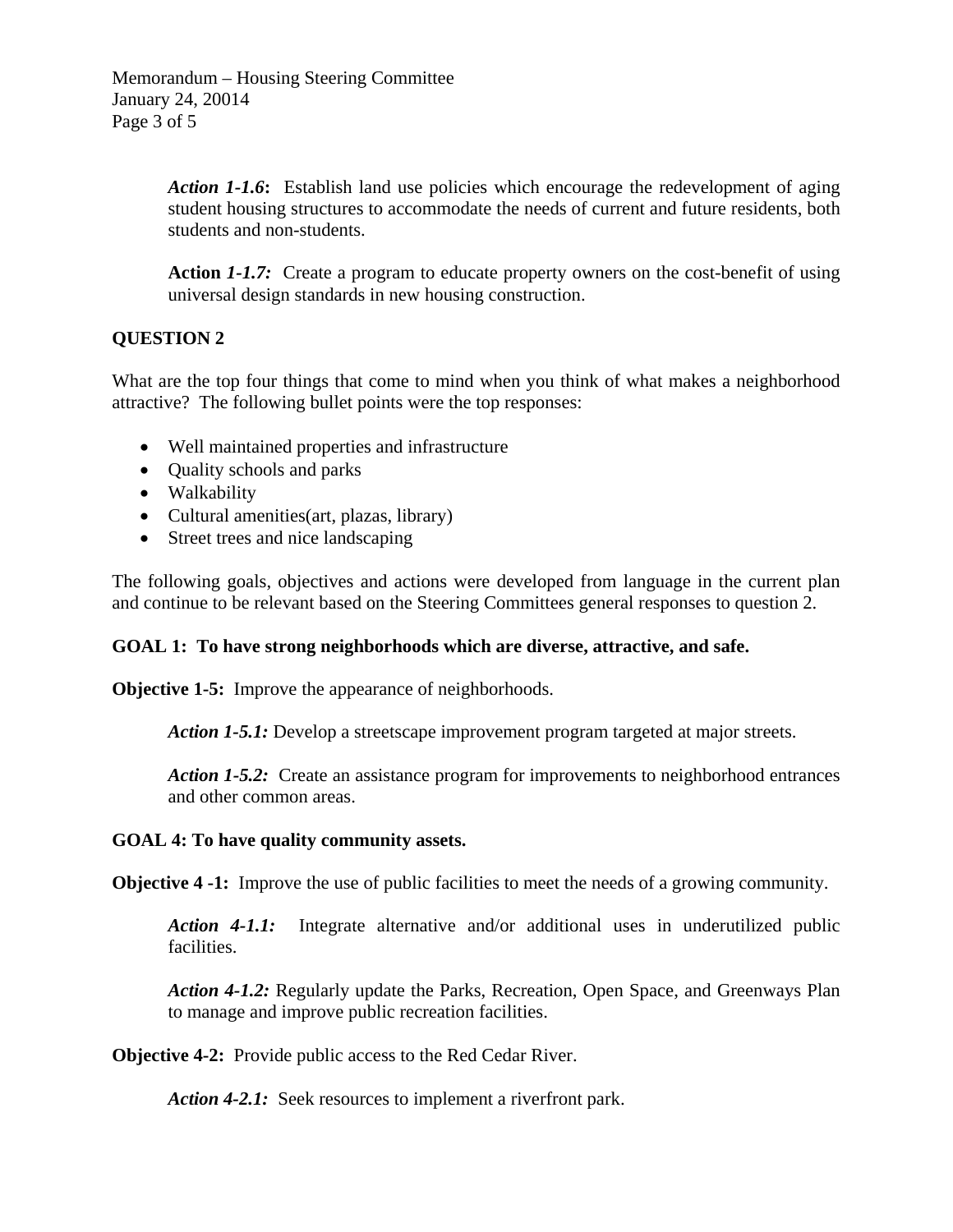Action 1-1.6: Establish land use policies which encourage the redevelopment of aging student housing structures to accommodate the needs of current and future residents, both students and non-students.

Action 1-1.7: Create a program to educate property owners on the cost-benefit of using universal design standards in new housing construction.

# **QUESTION 2**

What are the top four things that come to mind when you think of what makes a neighborhood attractive? The following bullet points were the top responses:

- Well maintained properties and infrastructure
- Quality schools and parks
- Walkability
- Cultural amenities(art, plazas, library)
- Street trees and nice landscaping

The following goals, objectives and actions were developed from language in the current plan and continue to be relevant based on the Steering Committees general responses to question 2.

#### **GOAL 1: To have strong neighborhoods which are diverse, attractive, and safe.**

**Objective 1-5:** Improve the appearance of neighborhoods.

*Action 1-5.1:* Develop a streetscape improvement program targeted at major streets.

*Action 1-5.2:* Create an assistance program for improvements to neighborhood entrances and other common areas.

#### **GOAL 4: To have quality community assets.**

**Objective 4 -1:** Improve the use of public facilities to meet the needs of a growing community.

*Action 4-1.1:* Integrate alternative and/or additional uses in underutilized public facilities.

*Action 4-1.2:* Regularly update the Parks, Recreation, Open Space, and Greenways Plan to manage and improve public recreation facilities.

**Objective 4-2:** Provide public access to the Red Cedar River.

Action 4-2.1: Seek resources to implement a riverfront park.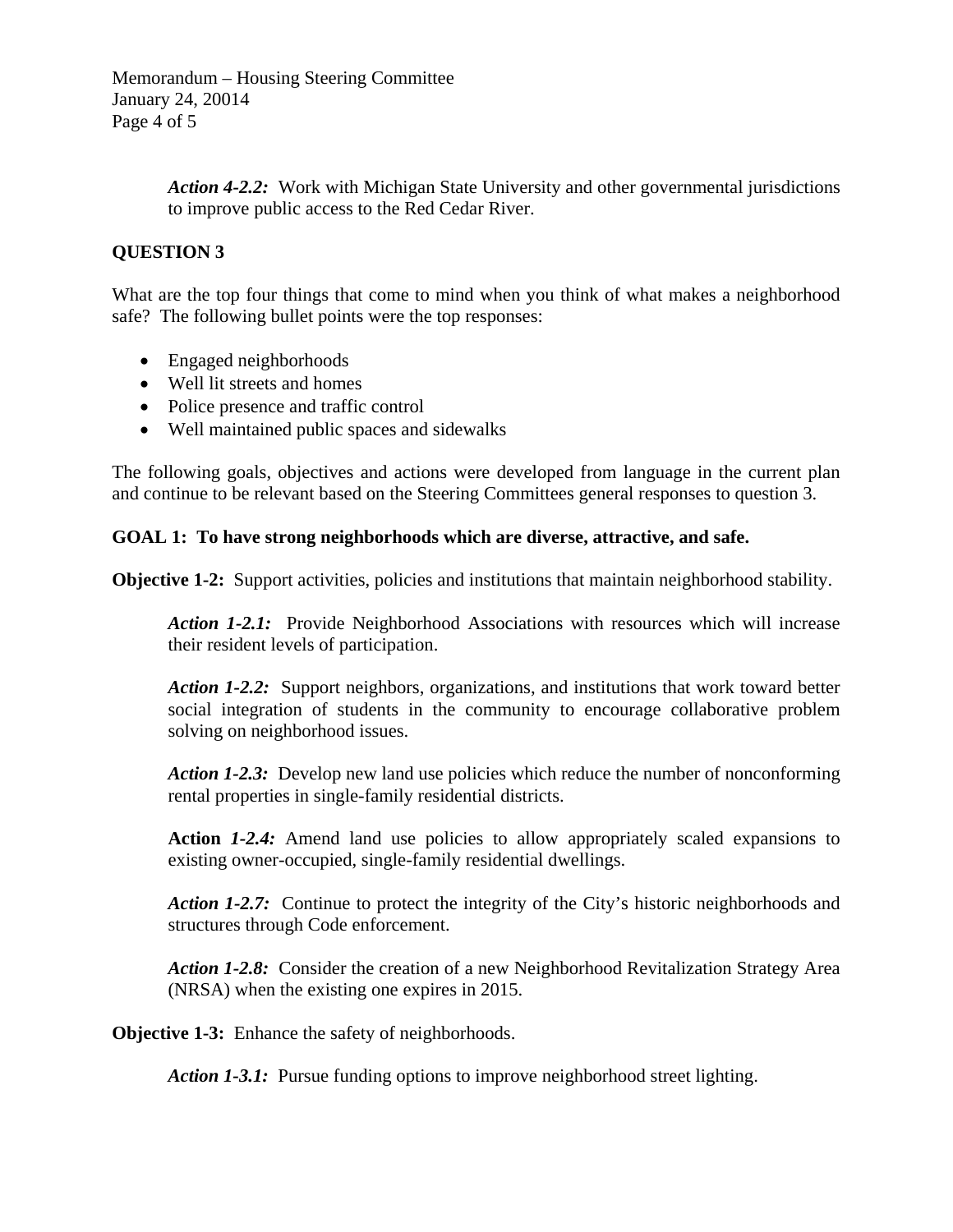Memorandum – Housing Steering Committee January 24, 20014 Page 4 of 5

> *Action 4-2.2:* Work with Michigan State University and other governmental jurisdictions to improve public access to the Red Cedar River.

## **QUESTION 3**

What are the top four things that come to mind when you think of what makes a neighborhood safe? The following bullet points were the top responses:

- Engaged neighborhoods
- Well lit streets and homes
- Police presence and traffic control
- Well maintained public spaces and sidewalks

The following goals, objectives and actions were developed from language in the current plan and continue to be relevant based on the Steering Committees general responses to question 3.

#### **GOAL 1: To have strong neighborhoods which are diverse, attractive, and safe.**

**Objective 1-2:** Support activities, policies and institutions that maintain neighborhood stability.

Action 1-2.1: Provide Neighborhood Associations with resources which will increase their resident levels of participation.

*Action 1-2.2:* Support neighbors, organizations, and institutions that work toward better social integration of students in the community to encourage collaborative problem solving on neighborhood issues.

*Action 1-2.3:* Develop new land use policies which reduce the number of nonconforming rental properties in single-family residential districts.

**Action** *1-2.4:* Amend land use policies to allow appropriately scaled expansions to existing owner-occupied, single-family residential dwellings.

*Action 1-2.7:* Continue to protect the integrity of the City's historic neighborhoods and structures through Code enforcement.

*Action 1-2.8:* Consider the creation of a new Neighborhood Revitalization Strategy Area (NRSA) when the existing one expires in 2015.

**Objective 1-3:** Enhance the safety of neighborhoods.

*Action 1-3.1:* Pursue funding options to improve neighborhood street lighting.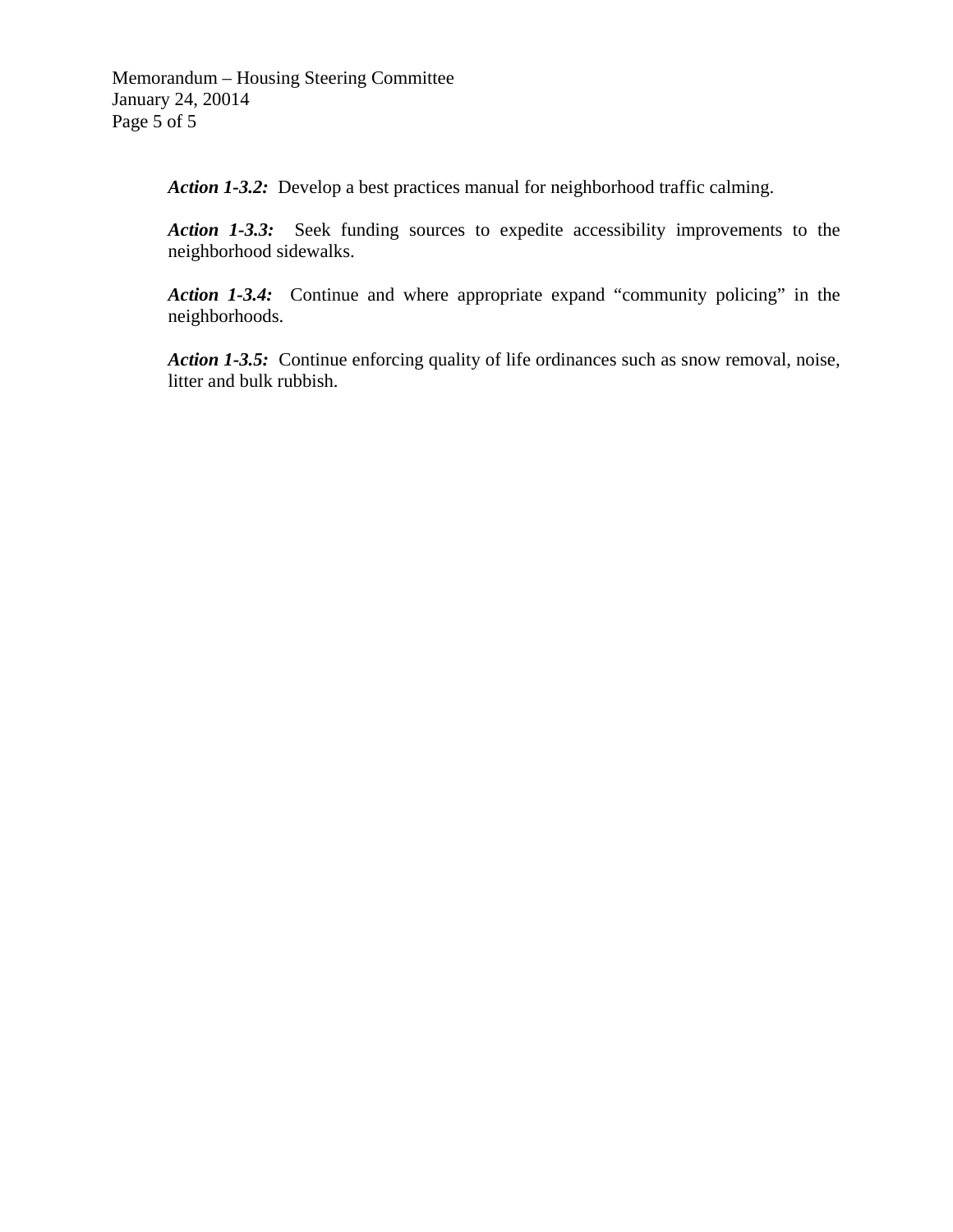*Action 1-3.2:* Develop a best practices manual for neighborhood traffic calming.

*Action 1-3.3:* Seek funding sources to expedite accessibility improvements to the neighborhood sidewalks.

*Action 1-3.4:* Continue and where appropriate expand "community policing" in the neighborhoods.

*Action 1-3.5:* Continue enforcing quality of life ordinances such as snow removal, noise, litter and bulk rubbish.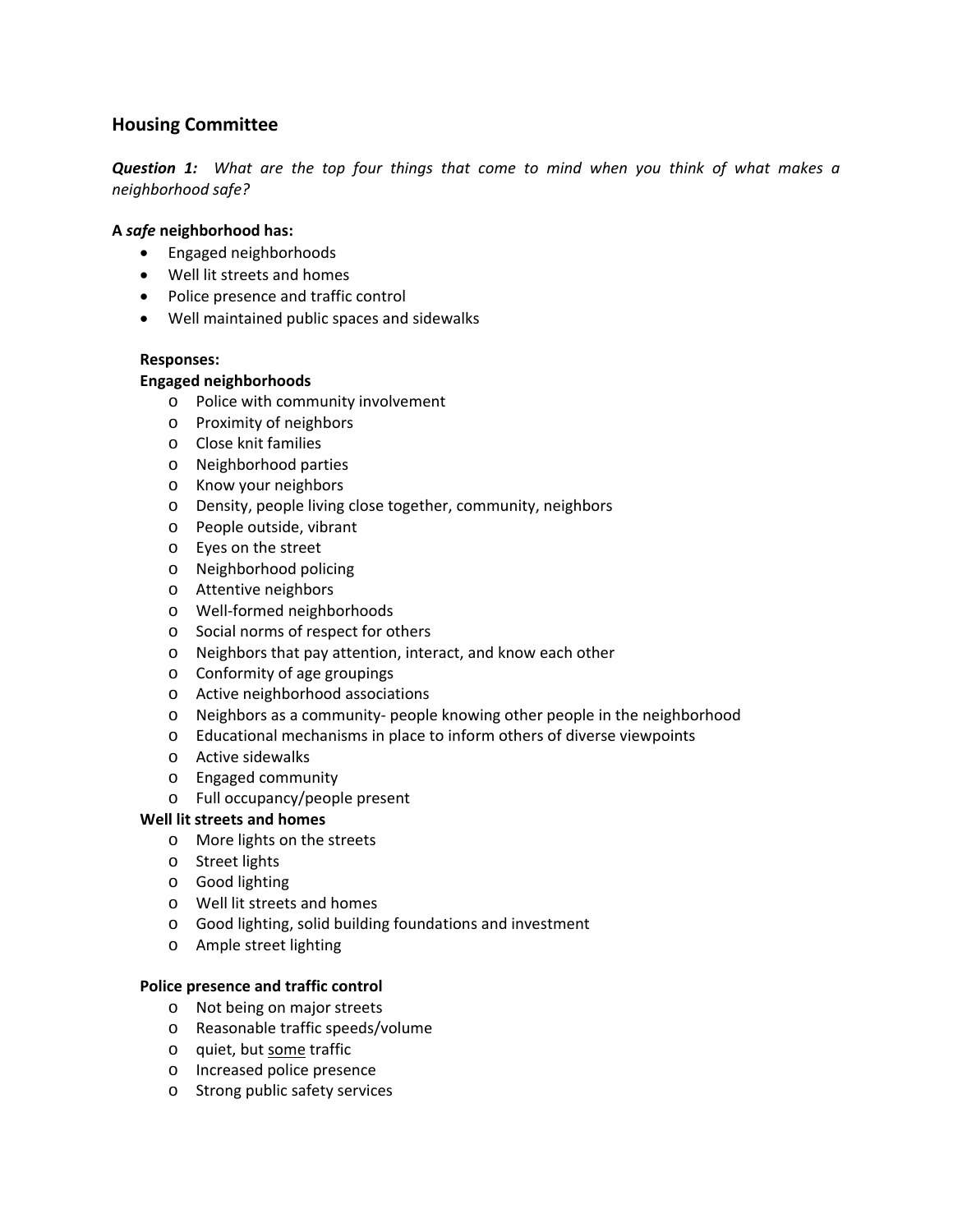# **Housing Committee**

**Question 1:** What are the top four things that come to mind when you think of what makes a *neighborhood safe?*

#### **A** *safe* **neighborhood has:**

- Engaged neighborhoods
- Well lit streets and homes
- Police presence and traffic control
- Well maintained public spaces and sidewalks

#### **Responses:**

#### **Engaged neighborhoods**

- o Police with community involvement
- o Proximity of neighbors
- o Close knit families
- o Neighborhood parties
- o Know your neighbors
- o Density, people living close together, community, neighbors
- o People outside, vibrant
- o Eyes on the street
- o Neighborhood policing
- o Attentive neighbors
- o Well‐formed neighborhoods
- o Social norms of respect for others
- o Neighbors that pay attention, interact, and know each other
- o Conformity of age groupings
- o Active neighborhood associations
- o Neighbors as a community‐ people knowing other people in the neighborhood
- o Educational mechanisms in place to inform others of diverse viewpoints
- o Active sidewalks
- o Engaged community
- o Full occupancy/people present

#### **Well lit streets and homes**

- o More lights on the streets
- o Street lights
- o Good lighting
- o Well lit streets and homes
- o Good lighting, solid building foundations and investment
- o Ample street lighting

#### **Police presence and traffic control**

- o Not being on major streets
- o Reasonable traffic speeds/volume
- o quiet, but some traffic
- o Increased police presence
- o Strong public safety services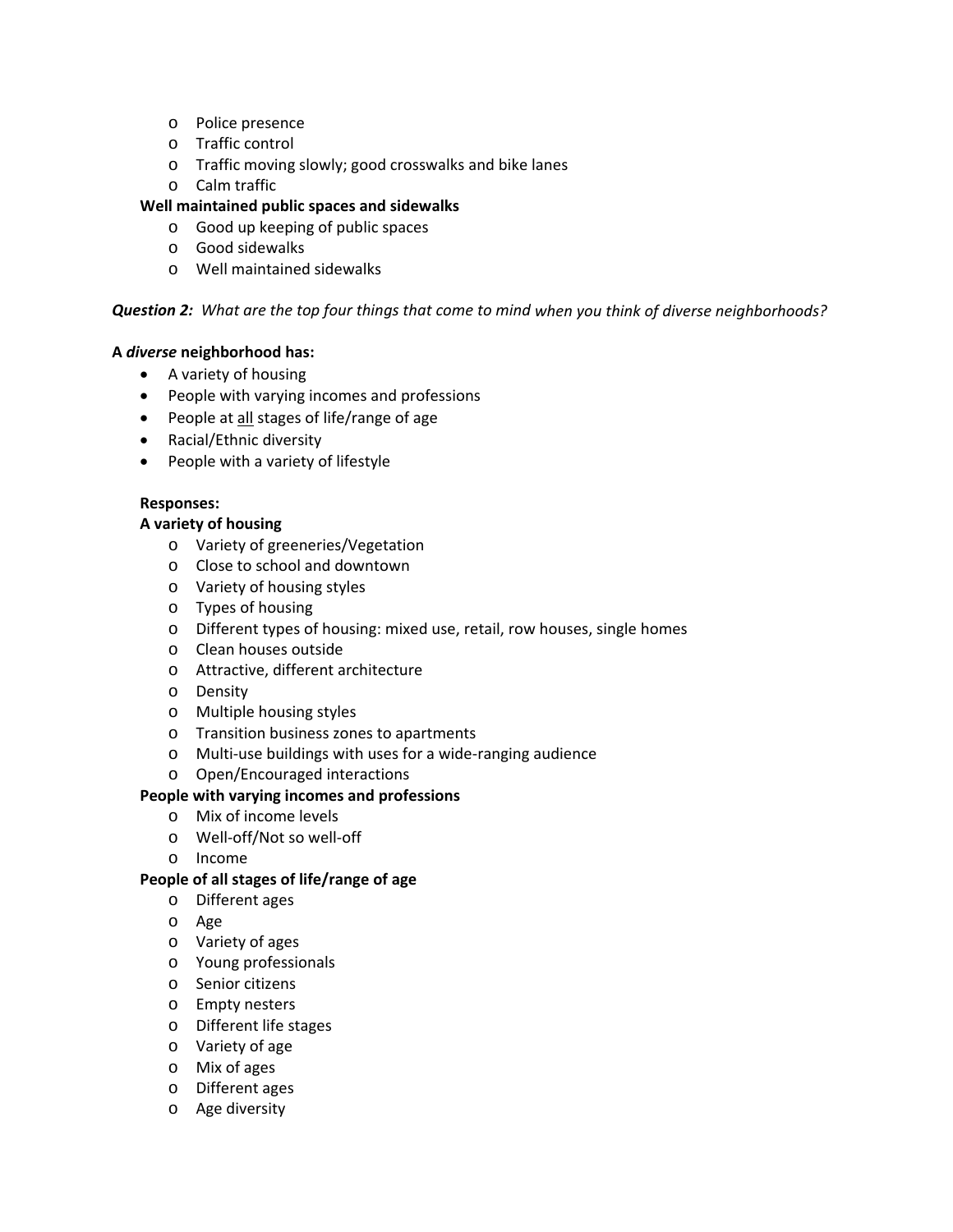- o Police presence
- o Traffic control
- o Traffic moving slowly; good crosswalks and bike lanes
- o Calm traffic

#### **Well maintained public spaces and sidewalks**

- o Good up keeping of public spaces
- o Good sidewalks
- o Well maintained sidewalks

#### Question 2: What are the top four things that come to mind when you think of diverse neighborhoods?

#### **A** *diverse* **neighborhood has:**

- A variety of housing
- People with varying incomes and professions
- People at all stages of life/range of age
- Racial/Ethnic diversity
- People with a variety of lifestyle

#### **Responses:**

#### **A variety of housing**

- o Variety of greeneries/Vegetation
- o Close to school and downtown
- o Variety of housing styles
- o Types of housing
- o Different types of housing: mixed use, retail, row houses, single homes
- o Clean houses outside
- o Attractive, different architecture
- o Density
- o Multiple housing styles
- o Transition business zones to apartments
- o Multi‐use buildings with uses for a wide‐ranging audience
- o Open/Encouraged interactions

#### **People with varying incomes and professions**

- o Mix of income levels
- o Well‐off/Not so well‐off
- o Income

#### **People of all stages of life/range of age**

- o Different ages
- o Age
- o Variety of ages
- o Young professionals
- o Senior citizens
- o Empty nesters
- o Different life stages
- o Variety of age
- o Mix of ages
- o Different ages
- o Age diversity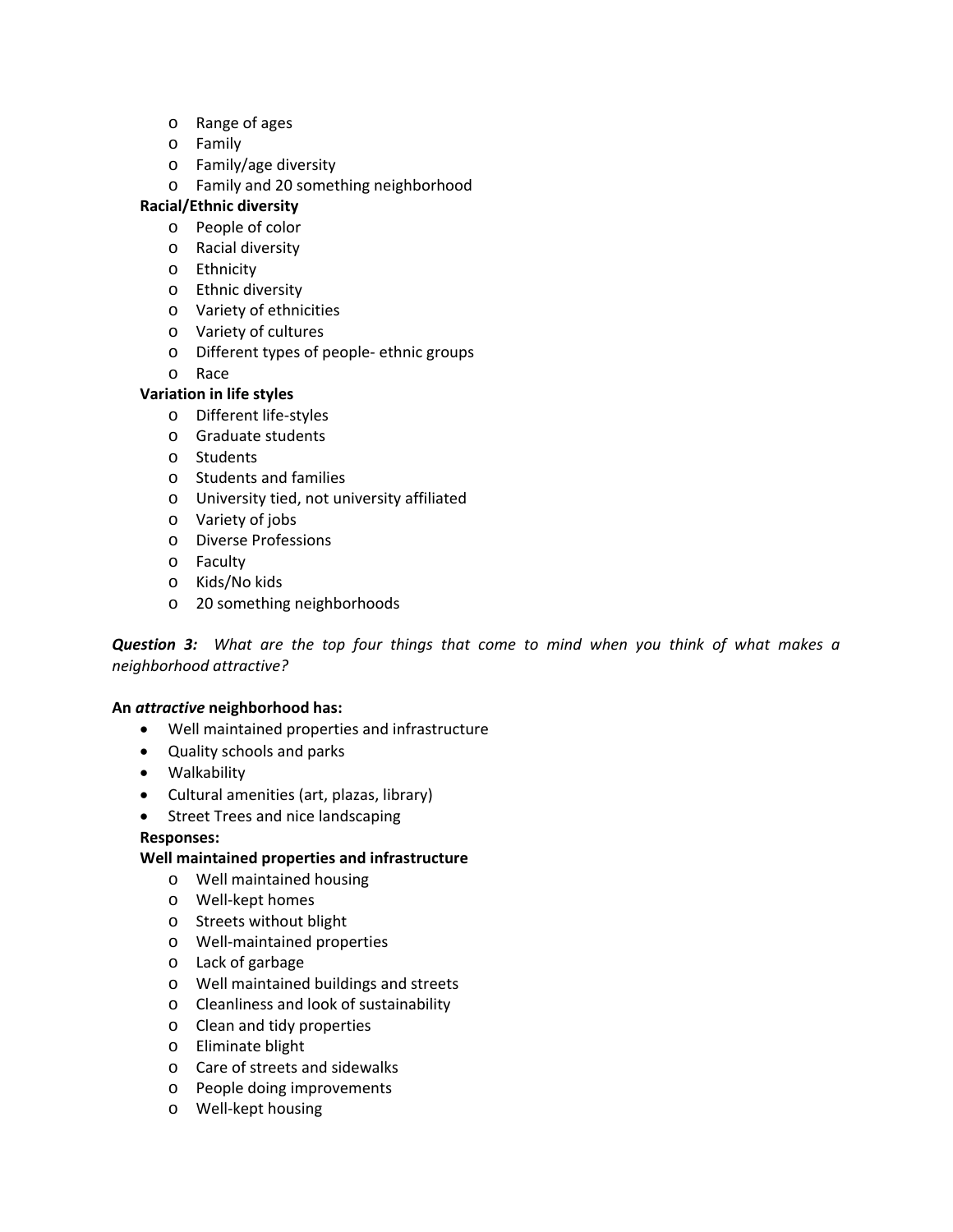- o Range of ages
- o Family
- o Family/age diversity
- o Family and 20 something neighborhood

#### **Racial/Ethnic diversity**

- o People of color
- o Racial diversity
- o Ethnicity
- o Ethnic diversity
- o Variety of ethnicities
- o Variety of cultures
- o Different types of people‐ ethnic groups
- o Race

#### **Variation in life styles**

- o Different life‐styles
- o Graduate students
- o Students
- o Students and families
- o University tied, not university affiliated
- o Variety of jobs
- o Diverse Professions
- o Faculty
- o Kids/No kids
- o 20 something neighborhoods

**Question 3:** What are the top four things that come to mind when you think of what makes a *neighborhood attractive?*

#### **An** *attractive* **neighborhood has:**

- Well maintained properties and infrastructure
- Quality schools and parks
- Walkability
- Cultural amenities (art, plazas, library)
- Street Trees and nice landscaping

#### **Responses:**

#### **Well maintained properties and infrastructure**

- o Well maintained housing
- o Well‐kept homes
- o Streets without blight
- o Well‐maintained properties
- o Lack of garbage
- o Well maintained buildings and streets
- o Cleanliness and look of sustainability
- o Clean and tidy properties
- o Eliminate blight
- o Care of streets and sidewalks
- o People doing improvements
- o Well‐kept housing